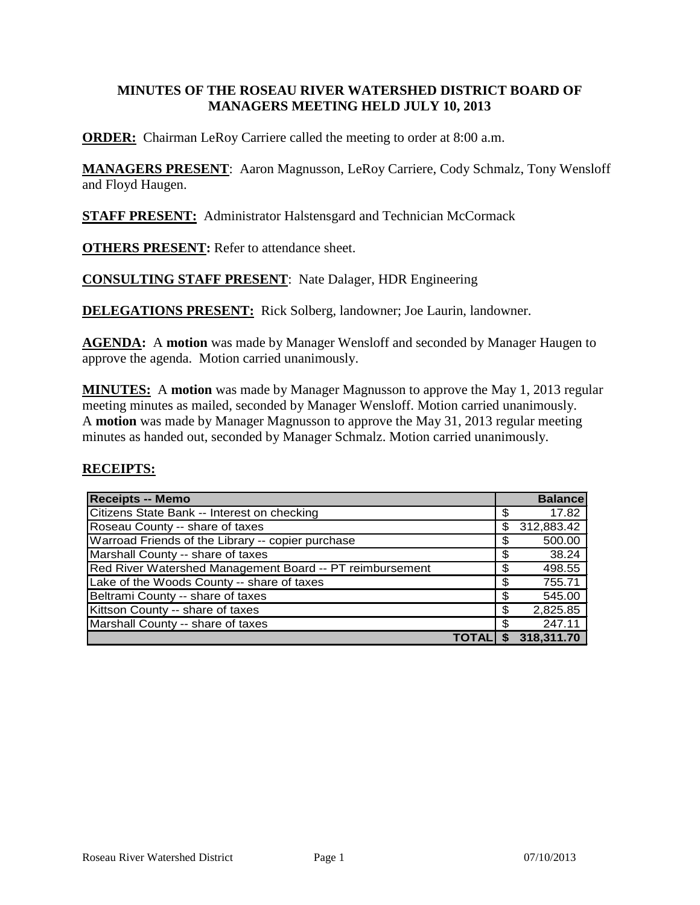### **MINUTES OF THE ROSEAU RIVER WATERSHED DISTRICT BOARD OF MANAGERS MEETING HELD JULY 10, 2013**

**ORDER:** Chairman LeRoy Carriere called the meeting to order at 8:00 a.m.

**MANAGERS PRESENT**: Aaron Magnusson, LeRoy Carriere, Cody Schmalz, Tony Wensloff and Floyd Haugen.

**STAFF PRESENT:** Administrator Halstensgard and Technician McCormack

**OTHERS PRESENT:** Refer to attendance sheet.

**CONSULTING STAFF PRESENT**: Nate Dalager, HDR Engineering

**DELEGATIONS PRESENT:** Rick Solberg, landowner; Joe Laurin, landowner.

**AGENDA:** A **motion** was made by Manager Wensloff and seconded by Manager Haugen to approve the agenda. Motion carried unanimously.

**MINUTES:** A **motion** was made by Manager Magnusson to approve the May 1, 2013 regular meeting minutes as mailed, seconded by Manager Wensloff. Motion carried unanimously. A **motion** was made by Manager Magnusson to approve the May 31, 2013 regular meeting minutes as handed out, seconded by Manager Schmalz. Motion carried unanimously.

# **RECEIPTS:**

| <b>Receipts -- Memo</b>                                  |    | <b>Balance</b> |
|----------------------------------------------------------|----|----------------|
| Citizens State Bank -- Interest on checking              | S  | 17.82          |
| Roseau County -- share of taxes                          | \$ | 312,883.42     |
| Warroad Friends of the Library -- copier purchase        | \$ | 500.00         |
| Marshall County -- share of taxes                        | \$ | 38.24          |
| Red River Watershed Management Board -- PT reimbursement | \$ | 498.55         |
| Lake of the Woods County -- share of taxes               | \$ | 755.71         |
| Beltrami County -- share of taxes                        | \$ | 545.00         |
| Kittson County -- share of taxes                         | \$ | 2,825.85       |
| Marshall County -- share of taxes                        | \$ | 247.11         |
|                                                          | S  | 318.311.70     |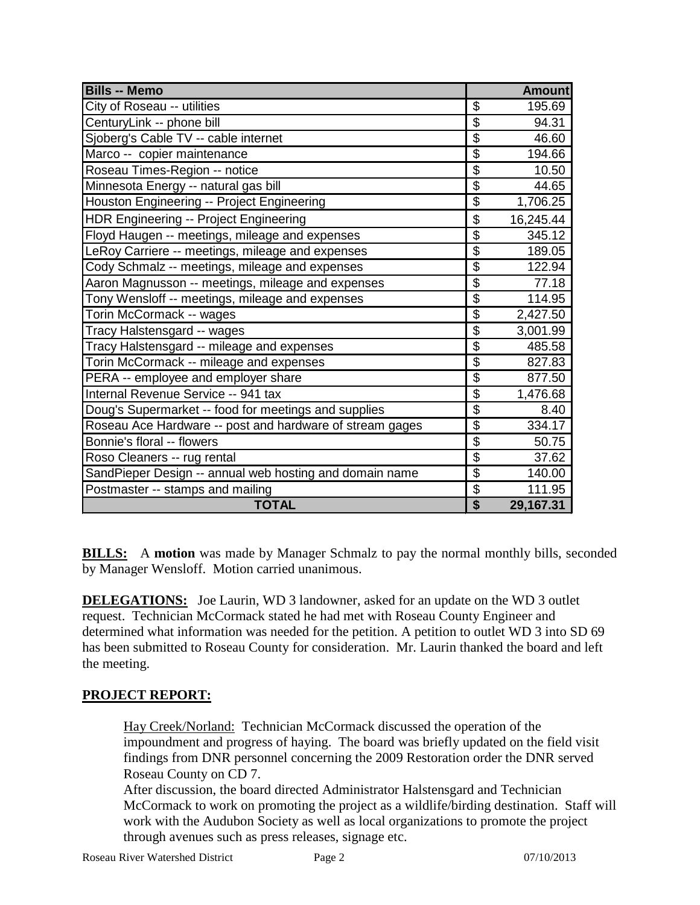| <b>Bills -- Memo</b>                                     |                          | <b>Amount</b> |
|----------------------------------------------------------|--------------------------|---------------|
| City of Roseau -- utilities                              | \$                       | 195.69        |
| CenturyLink -- phone bill                                | \$                       | 94.31         |
| Sjoberg's Cable TV -- cable internet                     | \$                       | 46.60         |
| Marco -- copier maintenance                              | $\overline{\mathcal{G}}$ | 194.66        |
| Roseau Times-Region -- notice                            | $\overline{\mathcal{G}}$ | 10.50         |
| Minnesota Energy -- natural gas bill                     | $\overline{\$}$          | 44.65         |
| Houston Engineering -- Project Engineering               | $\overline{\$}$          | 1,706.25      |
| HDR Engineering -- Project Engineering                   | \$                       | 16,245.44     |
| Floyd Haugen -- meetings, mileage and expenses           | $\overline{\$}$          | 345.12        |
| LeRoy Carriere -- meetings, mileage and expenses         | $\overline{\$}$          | 189.05        |
| Cody Schmalz -- meetings, mileage and expenses           | \$                       | 122.94        |
| Aaron Magnusson -- meetings, mileage and expenses        | \$                       | 77.18         |
| Tony Wensloff -- meetings, mileage and expenses          | $\overline{\mathbf{S}}$  | 114.95        |
| Torin McCormack -- wages                                 | \$                       | 2,427.50      |
| Tracy Halstensgard -- wages                              | $\overline{\mathbf{S}}$  | 3,001.99      |
| Tracy Halstensgard -- mileage and expenses               | $\overline{\mathcal{G}}$ | 485.58        |
| Torin McCormack -- mileage and expenses                  | \$                       | 827.83        |
| PERA -- employee and employer share                      | $\overline{\mathbf{S}}$  | 877.50        |
| Internal Revenue Service -- 941 tax                      | \$                       | 1,476.68      |
| Doug's Supermarket -- food for meetings and supplies     | \$                       | 8.40          |
| Roseau Ace Hardware -- post and hardware of stream gages | \$                       | 334.17        |
| Bonnie's floral -- flowers                               | $\overline{\$}$          | 50.75         |
| Roso Cleaners -- rug rental                              | \$                       | 37.62         |
| SandPieper Design -- annual web hosting and domain name  | $\overline{\mathcal{G}}$ | 140.00        |
| Postmaster -- stamps and mailing                         | $\overline{\mathcal{G}}$ | 111.95        |
| <b>TOTAL</b>                                             | $\overline{\$}$          | 29,167.31     |

**BILLS:** A **motion** was made by Manager Schmalz to pay the normal monthly bills, seconded by Manager Wensloff. Motion carried unanimous.

**DELEGATIONS:** Joe Laurin, WD 3 landowner, asked for an update on the WD 3 outlet request. Technician McCormack stated he had met with Roseau County Engineer and determined what information was needed for the petition. A petition to outlet WD 3 into SD 69 has been submitted to Roseau County for consideration. Mr. Laurin thanked the board and left the meeting.

# **PROJECT REPORT:**

Hay Creek/Norland: Technician McCormack discussed the operation of the impoundment and progress of haying. The board was briefly updated on the field visit findings from DNR personnel concerning the 2009 Restoration order the DNR served Roseau County on CD 7.

After discussion, the board directed Administrator Halstensgard and Technician McCormack to work on promoting the project as a wildlife/birding destination. Staff will work with the Audubon Society as well as local organizations to promote the project through avenues such as press releases, signage etc.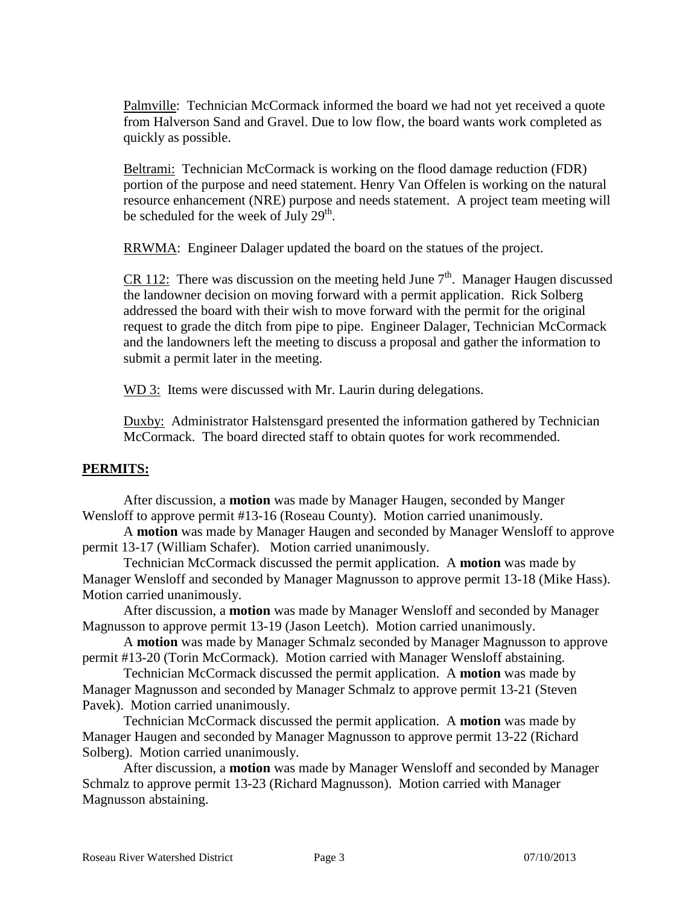Palmville: Technician McCormack informed the board we had not yet received a quote from Halverson Sand and Gravel. Due to low flow, the board wants work completed as quickly as possible.

Beltrami: Technician McCormack is working on the flood damage reduction (FDR) portion of the purpose and need statement. Henry Van Offelen is working on the natural resource enhancement (NRE) purpose and needs statement. A project team meeting will be scheduled for the week of July  $29<sup>th</sup>$ .

RRWMA: Engineer Dalager updated the board on the statues of the project.

CR 112: There was discussion on the meeting held June  $7<sup>th</sup>$ . Manager Haugen discussed the landowner decision on moving forward with a permit application. Rick Solberg addressed the board with their wish to move forward with the permit for the original request to grade the ditch from pipe to pipe. Engineer Dalager, Technician McCormack and the landowners left the meeting to discuss a proposal and gather the information to submit a permit later in the meeting.

WD 3: Items were discussed with Mr. Laurin during delegations.

Duxby: Administrator Halstensgard presented the information gathered by Technician McCormack. The board directed staff to obtain quotes for work recommended.

### **PERMITS:**

After discussion, a **motion** was made by Manager Haugen, seconded by Manger Wensloff to approve permit #13-16 (Roseau County). Motion carried unanimously.

A **motion** was made by Manager Haugen and seconded by Manager Wensloff to approve permit 13-17 (William Schafer). Motion carried unanimously.

Technician McCormack discussed the permit application. A **motion** was made by Manager Wensloff and seconded by Manager Magnusson to approve permit 13-18 (Mike Hass). Motion carried unanimously.

After discussion, a **motion** was made by Manager Wensloff and seconded by Manager Magnusson to approve permit 13-19 (Jason Leetch). Motion carried unanimously.

A **motion** was made by Manager Schmalz seconded by Manager Magnusson to approve permit #13-20 (Torin McCormack). Motion carried with Manager Wensloff abstaining.

Technician McCormack discussed the permit application. A **motion** was made by Manager Magnusson and seconded by Manager Schmalz to approve permit 13-21 (Steven Pavek). Motion carried unanimously.

Technician McCormack discussed the permit application. A **motion** was made by Manager Haugen and seconded by Manager Magnusson to approve permit 13-22 (Richard Solberg). Motion carried unanimously.

After discussion, a **motion** was made by Manager Wensloff and seconded by Manager Schmalz to approve permit 13-23 (Richard Magnusson). Motion carried with Manager Magnusson abstaining.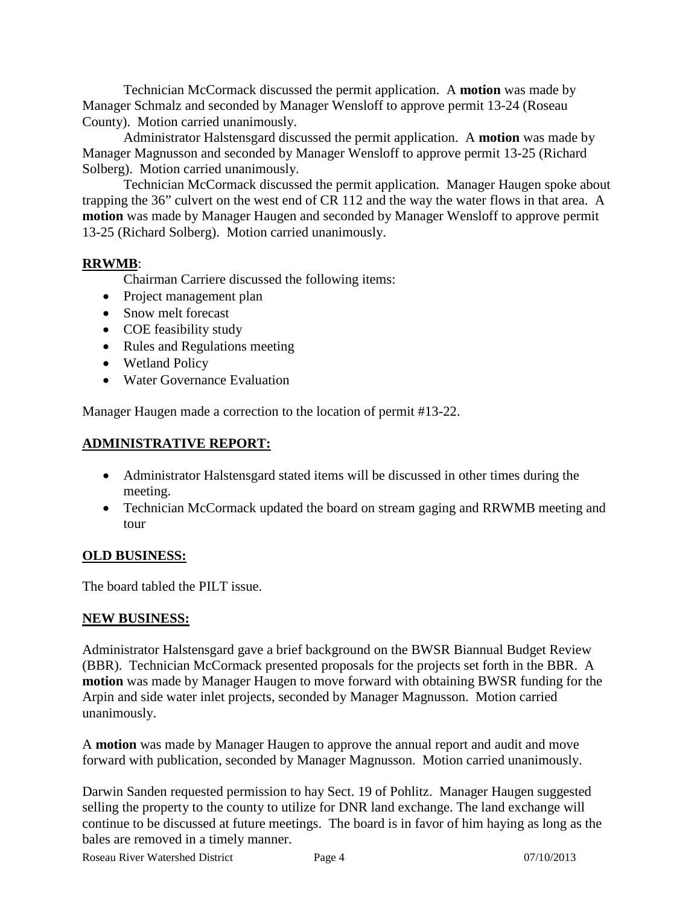Technician McCormack discussed the permit application. A **motion** was made by Manager Schmalz and seconded by Manager Wensloff to approve permit 13-24 (Roseau County). Motion carried unanimously.

Administrator Halstensgard discussed the permit application. A **motion** was made by Manager Magnusson and seconded by Manager Wensloff to approve permit 13-25 (Richard Solberg). Motion carried unanimously.

Technician McCormack discussed the permit application. Manager Haugen spoke about trapping the 36" culvert on the west end of CR 112 and the way the water flows in that area. A **motion** was made by Manager Haugen and seconded by Manager Wensloff to approve permit 13-25 (Richard Solberg). Motion carried unanimously.

# **RRWMB**:

Chairman Carriere discussed the following items:

- Project management plan
- Snow melt forecast
- COE feasibility study
- Rules and Regulations meeting
- Wetland Policy
- Water Governance Evaluation

Manager Haugen made a correction to the location of permit #13-22.

### **ADMINISTRATIVE REPORT:**

- Administrator Halstensgard stated items will be discussed in other times during the meeting.
- Technician McCormack updated the board on stream gaging and RRWMB meeting and tour

### **OLD BUSINESS:**

The board tabled the PILT issue.

### **NEW BUSINESS:**

Administrator Halstensgard gave a brief background on the BWSR Biannual Budget Review (BBR). Technician McCormack presented proposals for the projects set forth in the BBR. A **motion** was made by Manager Haugen to move forward with obtaining BWSR funding for the Arpin and side water inlet projects, seconded by Manager Magnusson. Motion carried unanimously.

A **motion** was made by Manager Haugen to approve the annual report and audit and move forward with publication, seconded by Manager Magnusson. Motion carried unanimously.

Darwin Sanden requested permission to hay Sect. 19 of Pohlitz. Manager Haugen suggested selling the property to the county to utilize for DNR land exchange. The land exchange will continue to be discussed at future meetings. The board is in favor of him haying as long as the bales are removed in a timely manner.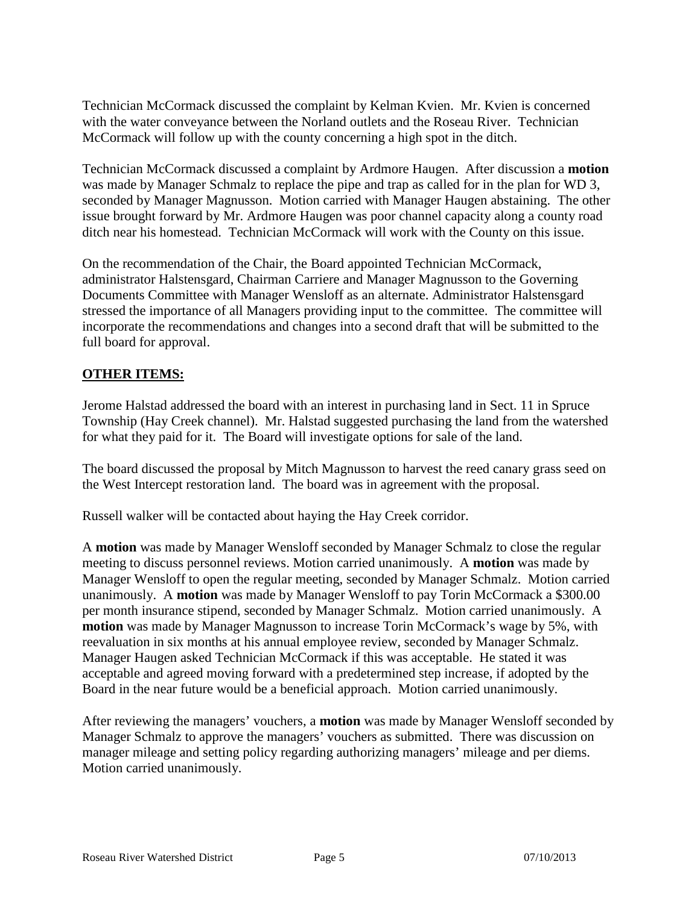Technician McCormack discussed the complaint by Kelman Kvien. Mr. Kvien is concerned with the water conveyance between the Norland outlets and the Roseau River. Technician McCormack will follow up with the county concerning a high spot in the ditch.

Technician McCormack discussed a complaint by Ardmore Haugen. After discussion a **motion** was made by Manager Schmalz to replace the pipe and trap as called for in the plan for WD 3, seconded by Manager Magnusson. Motion carried with Manager Haugen abstaining. The other issue brought forward by Mr. Ardmore Haugen was poor channel capacity along a county road ditch near his homestead. Technician McCormack will work with the County on this issue.

On the recommendation of the Chair, the Board appointed Technician McCormack, administrator Halstensgard, Chairman Carriere and Manager Magnusson to the Governing Documents Committee with Manager Wensloff as an alternate. Administrator Halstensgard stressed the importance of all Managers providing input to the committee. The committee will incorporate the recommendations and changes into a second draft that will be submitted to the full board for approval.

### **OTHER ITEMS:**

Jerome Halstad addressed the board with an interest in purchasing land in Sect. 11 in Spruce Township (Hay Creek channel). Mr. Halstad suggested purchasing the land from the watershed for what they paid for it. The Board will investigate options for sale of the land.

The board discussed the proposal by Mitch Magnusson to harvest the reed canary grass seed on the West Intercept restoration land. The board was in agreement with the proposal.

Russell walker will be contacted about haying the Hay Creek corridor.

A **motion** was made by Manager Wensloff seconded by Manager Schmalz to close the regular meeting to discuss personnel reviews. Motion carried unanimously. A **motion** was made by Manager Wensloff to open the regular meeting, seconded by Manager Schmalz. Motion carried unanimously. A **motion** was made by Manager Wensloff to pay Torin McCormack a \$300.00 per month insurance stipend, seconded by Manager Schmalz. Motion carried unanimously. A **motion** was made by Manager Magnusson to increase Torin McCormack's wage by 5%, with reevaluation in six months at his annual employee review, seconded by Manager Schmalz. Manager Haugen asked Technician McCormack if this was acceptable. He stated it was acceptable and agreed moving forward with a predetermined step increase, if adopted by the Board in the near future would be a beneficial approach. Motion carried unanimously.

After reviewing the managers' vouchers, a **motion** was made by Manager Wensloff seconded by Manager Schmalz to approve the managers' vouchers as submitted. There was discussion on manager mileage and setting policy regarding authorizing managers' mileage and per diems. Motion carried unanimously.